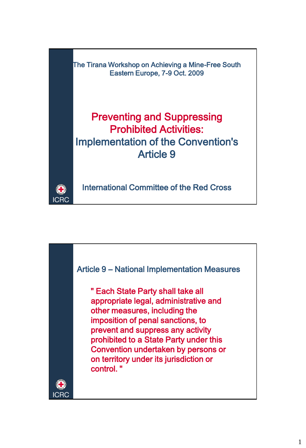The Tirana Workshop on Achieving a Mine-Free South Eastern Europe, 7-9 Oct. 2009 Preventing and Suppressing Prohibited Activities: Implementation of the Convention's Article 9

International Committee of the Red Cross

O. **ICRC** 

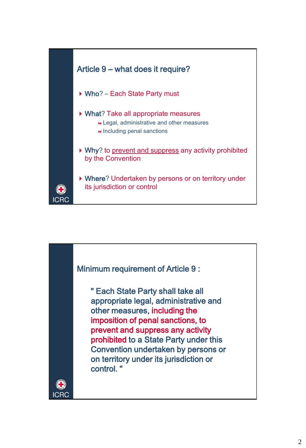

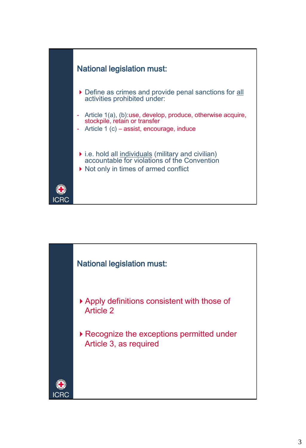

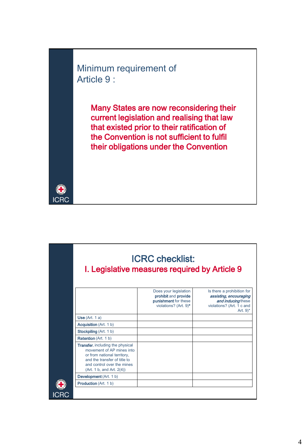Minimum requirement of Article 9 :

O **ICRC** 

Many States are now reconsidering their current legislation and realising that law that existed prior to their ratification of the Convention is not sufficient to fulfil their obligations under the Convention

|                                                                                                                                                                                                | <b>ICRC checklist:</b><br>I. Legislative measures required by Article 9                        |                                                                                                                       |
|------------------------------------------------------------------------------------------------------------------------------------------------------------------------------------------------|------------------------------------------------------------------------------------------------|-----------------------------------------------------------------------------------------------------------------------|
|                                                                                                                                                                                                | Does your legislation<br>prohibit and provide<br>punishment for these<br>violations? (Art. 9)* | Is there a prohibition for<br>assisting, encouraging<br>and inducing these<br>violations? (Art. 1 c and<br>Art. $9^*$ |
| Use (Art. 1 a)                                                                                                                                                                                 |                                                                                                |                                                                                                                       |
| <b>Acquisition</b> (Art. 1 b)                                                                                                                                                                  |                                                                                                |                                                                                                                       |
| Stockpiling (Art. 1 b)                                                                                                                                                                         |                                                                                                |                                                                                                                       |
| <b>Retention</b> (Art. 1 b)                                                                                                                                                                    |                                                                                                |                                                                                                                       |
| <b>Transfer, including the physical</b><br>movement of AP mines into<br>or from national territory,<br>and the transfer of title to<br>and control over the mines<br>(Art. 1 b, and Art. 2(4)) |                                                                                                |                                                                                                                       |
| Development (Art. 1 b)                                                                                                                                                                         |                                                                                                |                                                                                                                       |
| <b>Production</b> (Art. 1 b)                                                                                                                                                                   |                                                                                                |                                                                                                                       |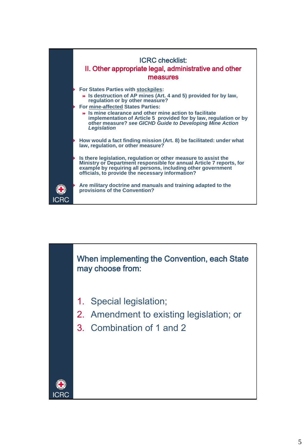

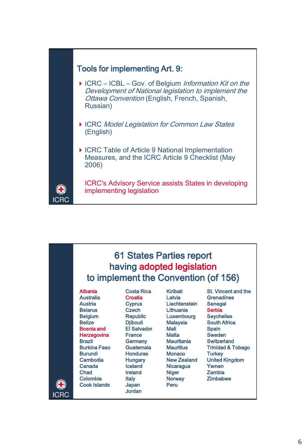

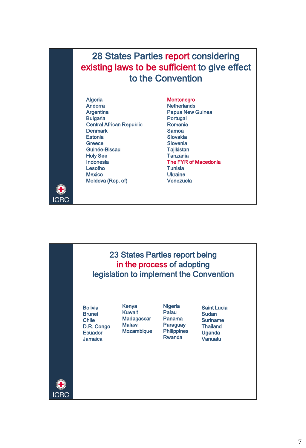## 28 States Parties report considering existing laws to be sufficient to give effect to the Convention

Algeria Andorra **Argentina** Bulgaria Central African Republic **Denmark Estonia Greece** Guinée-Bissau Holy See Indonesia Lesotho **Mexico** Moldova (Rep. of)

**ICRC** 

Montenegro **Netherlands** Papua New Guinea Portugal Romania Samoa Slovakia Slovenia **Tajikistan Tanzania** The FYR of Macedonia **Tunisia** Ukraine Venezuela

23 States Parties report being in the process of adopting legislation to implement the ConventionKenya **Nigeria** Bolivia Saint Lucia Kuwait Palau Brunei Sudan Madagascar Panama **Chile** Suriname **Malawi** Paraguay **Thailand** D.R. Congo Mozambique **Philippines** Uganda **Ecuador** Rwanda Jamaica Vanuatu **ICRC**